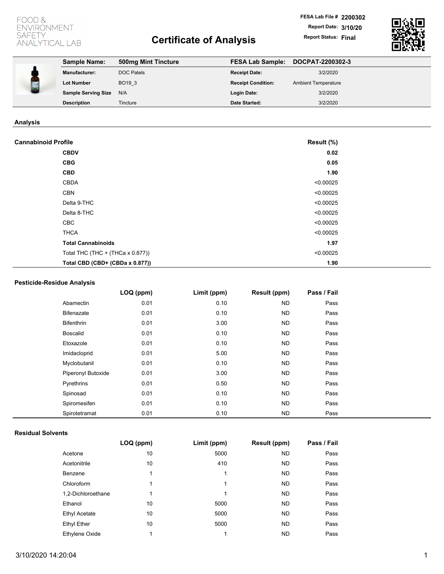# FOOD & ENVIRONMENT **SAFETY** ANALYTICAL LAB

# **Certificate of Analysis Report Status: Final**

**FESA Lab File # 2200302 Report Date: 3/10/20**



| <b>Sample Name:</b><br><b>FESA Lab Sample:</b><br>500mg Mint Tincture<br><b>DOC Patels</b><br>3/2/2020<br><b>Manufacturer:</b><br><b>Receipt Date:</b><br>BO <sub>193</sub><br><b>Receipt Condition:</b><br><b>Lot Number</b><br><b>Ambient Temperature</b><br><b>Sample Serving Size</b><br>3/2/2020<br>N/A<br>Login Date: | DOCPAT-2200302-3   |          |                      |          |
|-----------------------------------------------------------------------------------------------------------------------------------------------------------------------------------------------------------------------------------------------------------------------------------------------------------------------------|--------------------|----------|----------------------|----------|
|                                                                                                                                                                                                                                                                                                                             |                    |          |                      |          |
|                                                                                                                                                                                                                                                                                                                             |                    |          |                      |          |
|                                                                                                                                                                                                                                                                                                                             |                    |          |                      |          |
|                                                                                                                                                                                                                                                                                                                             | <b>Description</b> | Tincture | <b>Date Started:</b> | 3/2/2020 |

# **Analysis**

| <b>Cannabinoid Profile</b>              | Result (%) |  |
|-----------------------------------------|------------|--|
| <b>CBDV</b>                             | 0.02       |  |
| <b>CBG</b>                              | 0.05       |  |
| <b>CBD</b>                              | 1.90       |  |
| <b>CBDA</b>                             | < 0.00025  |  |
| <b>CBN</b>                              | < 0.00025  |  |
| Delta 9-THC                             | < 0.00025  |  |
| Delta 8-THC                             | < 0.00025  |  |
| CBC                                     | < 0.00025  |  |
| <b>THCA</b>                             | < 0.00025  |  |
| <b>Total Cannabinoids</b>               | 1.97       |  |
| Total THC $(THC + (THCa \times 0.877))$ | < 0.00025  |  |
| Total CBD (CBD+ (CBDa x 0.877))         | 1.90       |  |

# **Pesticide-Residue Analysis**

|                    | LOQ (ppm) | Limit (ppm) | Result (ppm) | Pass / Fail |  |
|--------------------|-----------|-------------|--------------|-------------|--|
| Abamectin          | 0.01      | 0.10        | ND.          | Pass        |  |
| Bifenazate         | 0.01      | 0.10        | ND.          | Pass        |  |
| <b>Bifenthrin</b>  | 0.01      | 3.00        | ND.          | Pass        |  |
| <b>Boscalid</b>    | 0.01      | 0.10        | ND.          | Pass        |  |
| Etoxazole          | 0.01      | 0.10        | ND.          | Pass        |  |
| Imidacloprid       | 0.01      | 5.00        | <b>ND</b>    | Pass        |  |
| Myclobutanil       | 0.01      | 0.10        | ND.          | Pass        |  |
| Piperonyl Butoxide | 0.01      | 3.00        | ND.          | Pass        |  |
| Pyrethrins         | 0.01      | 0.50        | ND.          | Pass        |  |
| Spinosad           | 0.01      | 0.10        | <b>ND</b>    | Pass        |  |
| Spiromesifen       | 0.01      | 0.10        | ND.          | Pass        |  |
| Spirotetramat      | 0.01      | 0.10        | ND.          | Pass        |  |

### **Residual Solvents**

|                       | LOQ (ppm) | Limit (ppm) | <b>Result (ppm)</b> | Pass / Fail |
|-----------------------|-----------|-------------|---------------------|-------------|
| Acetone               | 10        | 5000        | ND.                 | Pass        |
| Acetonitrile          | 10        | 410         | ND.                 | Pass        |
| Benzene               | 1         | 1           | ND.                 | Pass        |
| Chloroform            | 1         | 1           | ND.                 | Pass        |
| 1,2-Dichloroethane    | 1         | 1           | ND.                 | Pass        |
| Ethanol               | 10        | 5000        | ND.                 | Pass        |
| <b>Ethyl Acetate</b>  | 10        | 5000        | <b>ND</b>           | Pass        |
| <b>Ethyl Ether</b>    | 10        | 5000        | ND.                 | Pass        |
| <b>Ethylene Oxide</b> | 1         | 1           | <b>ND</b>           | Pass        |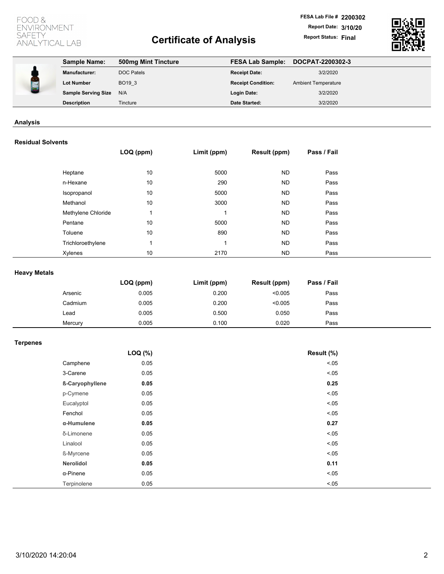# FOOD & ENVIRONMENT **SAFETY** ANALYTICAL LAB

# **Certificate of Analysis Report Status: Final**



| <b>Sample Name:</b>        | 500mg Mint Tincture | <b>FESA Lab Sample:</b>   | DOCPAT-2200302-3           |
|----------------------------|---------------------|---------------------------|----------------------------|
| <b>Manufacturer:</b>       | <b>DOC Patels</b>   | <b>Receipt Date:</b>      | 3/2/2020                   |
| <b>Lot Number</b>          | BO <sub>193</sub>   | <b>Receipt Condition:</b> | <b>Ambient Temperature</b> |
| <b>Sample Serving Size</b> | N/A                 | <b>Login Date:</b>        | 3/2/2020                   |
| <b>Description</b>         | Tincture            | <b>Date Started:</b>      | 3/2/2020                   |
|                            |                     |                           |                            |

## **Analysis**

## **Residual Solvents**

|                    | LOQ (ppm) | Limit (ppm) | Result (ppm) | Pass / Fail |
|--------------------|-----------|-------------|--------------|-------------|
| Heptane            | 10        | 5000        | ND.          | Pass        |
|                    |           |             |              |             |
| n-Hexane           | 10        | 290         | ND.          | Pass        |
| Isopropanol        | 10        | 5000        | ND.          | Pass        |
| Methanol           | 10        | 3000        | ND.          | Pass        |
| Methylene Chloride |           |             | ND.          | Pass        |
| Pentane            | 10        | 5000        | ND.          | Pass        |
| Toluene            | 10        | 890         | <b>ND</b>    | Pass        |
| Trichloroethylene  |           |             | ND.          | Pass        |
| Xylenes            | 10        | 2170        | ND.          | Pass        |

## **Heavy Metals**

|         | $LOQ$ (ppm) | Limit (ppm) | Result (ppm) | Pass / Fail |
|---------|-------------|-------------|--------------|-------------|
| Arsenic | 0.005       | 0.200       | < 0.005      | Pass        |
| Cadmium | 0.005       | 0.200       | < 0.005      | Pass        |
| Lead    | 0.005       | 0.500       | 0.050        | Pass        |
| Mercury | 0.005       | 0.100       | 0.020        | Pass        |

# **Terpenes**

|                  | LOQ (%) | Result (%) |
|------------------|---------|------------|
| Camphene         | 0.05    | < .05      |
| 3-Carene         | 0.05    | < .05      |
| ß-Caryophyllene  | 0.05    | 0.25       |
| p-Cymene         | 0.05    | < .05      |
| Eucalyptol       | 0.05    | < .05      |
| Fenchol          | 0.05    | < 0.05     |
| α-Humulene       | 0.05    | 0.27       |
| δ-Limonene       | 0.05    | < .05      |
| Linalool         | 0.05    | < .05      |
| ß-Myrcene        | 0.05    | < .05      |
| Nerolidol        | 0.05    | 0.11       |
| $\alpha$ -Pinene | 0.05    | < .05      |
| Terpinolene      | 0.05    | < .05      |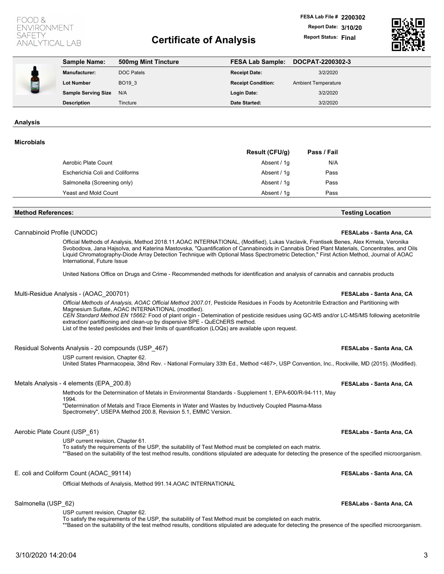## FOOD 8 **VVIRONMENT SAFETY ANALYTICAL LAB**

# **Certificate of Analysis Report Status: Final**



| <b>Sample Name:</b>        | 500mg Mint Tincture | <b>FESA Lab Sample:</b>   | DOCPAT-2200302-3           |
|----------------------------|---------------------|---------------------------|----------------------------|
| <b>Manufacturer:</b>       | <b>DOC Patels</b>   | <b>Receipt Date:</b>      | 3/2/2020                   |
| <b>Lot Number</b>          | BO <sub>193</sub>   | <b>Receipt Condition:</b> | <b>Ambient Temperature</b> |
| <b>Sample Serving Size</b> | N/A                 | Login Date:               | 3/2/2020                   |
| <b>Description</b>         | Tincture            | <b>Date Started:</b>      | 3/2/2020                   |

**Analysis**

### **Microbials**

|                                | <b>Result (CFU/g)</b> | Pass / Fail |
|--------------------------------|-----------------------|-------------|
| Aerobic Plate Count            | Absent / 1q           | N/A         |
| Escherichia Coli and Coliforms | Absent / 1g           | Pass        |
| Salmonella (Screening only)    | Absent / 1q           | Pass        |
| Yeast and Mold Count           | Absent / 1q           | Pass        |
|                                |                       |             |

#### **Method References: Testing Location**

#### Cannabinoid Profile (UNODC) **FESALabs - Santa Ana, CA**

Official Methods of Analysis, Method 2018.11.AOAC INTERNATIONAL, (Modified), Lukas Vaclavik, Frantisek Benes, Alex Krmela, Veronika Svobodova, Jana Hajsolva, and Katerina Mastovska, "Quantification of Cannabinoids in Cannabis Dried Plant Materials, Concentrates, and Oils Liquid Chromatography-Diode Array Detection Technique with Optional Mass Spectrometric Detection," First Action Method, Journal of AOAC International, Future Issue

United Nations Office on Drugs and Crime - Recommended methods for identification and analysis of cannabis and cannabis products

### Multi-Residue Analysis - (AOAC\_200701) **FESALabs - Santa Ana, CA**

Official Methods of Analysis, AOAC Official Method 2007.01, Pesticide Residues in Foods by Acetonitrile Extraction and Partitioning with Magnesium Sulfate, AOAC INTERNATIONAL (modified). *CEN Standard Method EN 15662:* Food of plant origin - Detemination of pesticide residues using GC-MS and/or LC-MS/MS following acetonitrile extraction/ partiftioning and clean-up by dispersive SPE - QuEChERS method.

List of the tested pesticides and their limits of quantification (LOQs) are available upon request.

### Residual Solvents Analysis - 20 compounds (USP\_467) **FESALabs - Santa Ana, CA**

USP current revision, Chapter 62.

United States Pharmacopeia, 38nd Rev. - National Formulary 33th Ed., Method <467>, USP Convention, Inc., Rockville, MD (2015). (Modified).

### Metals Analysis - 4 elements (EPA\_200.8) **FESALabs - Santa Ana, CA**

Methods for the Determination of Metals in Environmental Standards - Supplement 1, EPA-600/R-94-111, May 1994. "Determination of Metals and Trace Elements in Water and Wastes by Inductively Coupled Plasma-Mass Spectrometry", USEPA Method 200.8, Revision 5.1, EMMC Version.

### Aerobic Plate Count (USP\_61) **FESALabs - Santa Ana, CA**

USP current revision, Chapter 61. To satisfy the requirements of the USP, the suitability of Test Method must be completed on each matrix. \*\*Based on the suitability of the test method results, conditions stipulated are adequate for detecting the presence of the specified microorganism.

### E. coli and Coliform Count (AOAC\_99114) **FESALabs - Santa Ana, CA**

Official Methods of Analysis, Method 991.14.AOAC INTERNATIONAL

USP current revision, Chapter 62.

To satisfy the requirements of the USP, the suitability of Test Method must be completed on each matrix. \*\*Based on the suitability of the test method results, conditions stipulated are adequate for detecting the presence of the specified microorganism.

## Salmonella (USP\_62) **FESALabs - Santa Ana, CA**

3/10/2020 14:20:04 3